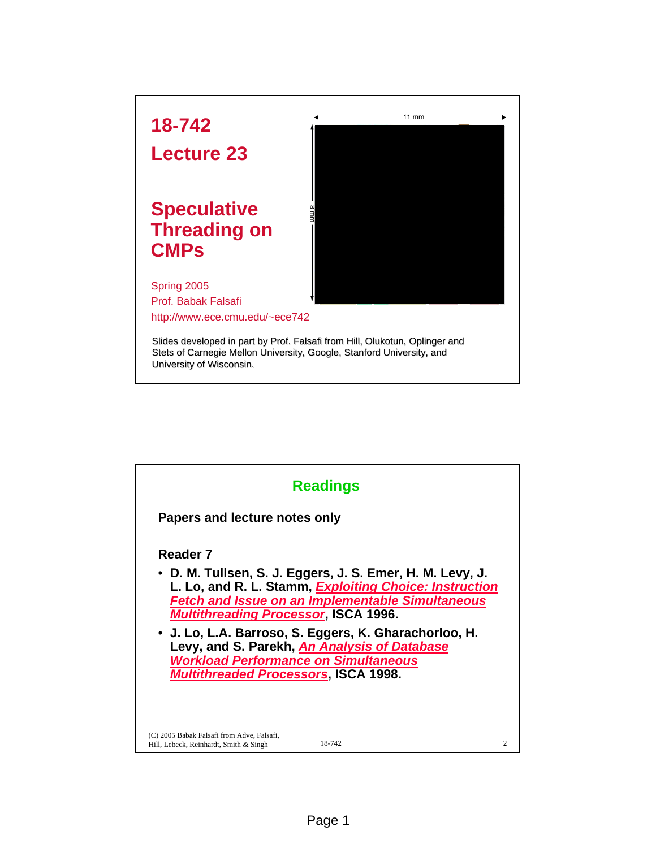

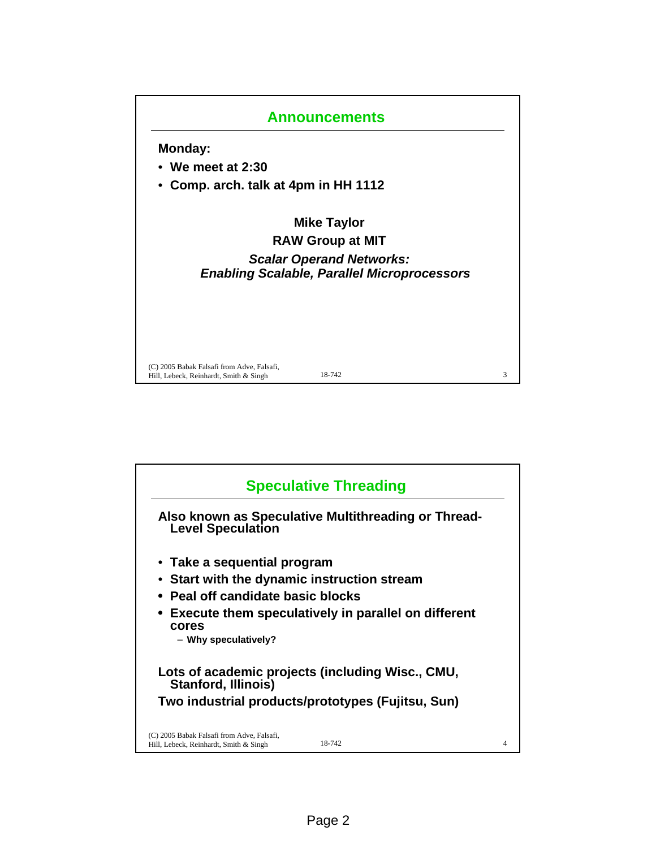

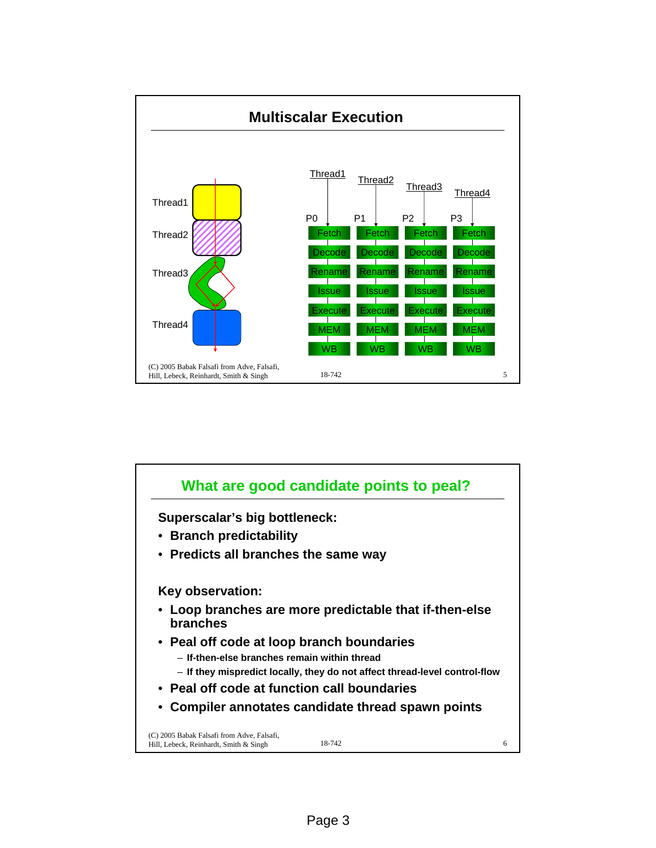

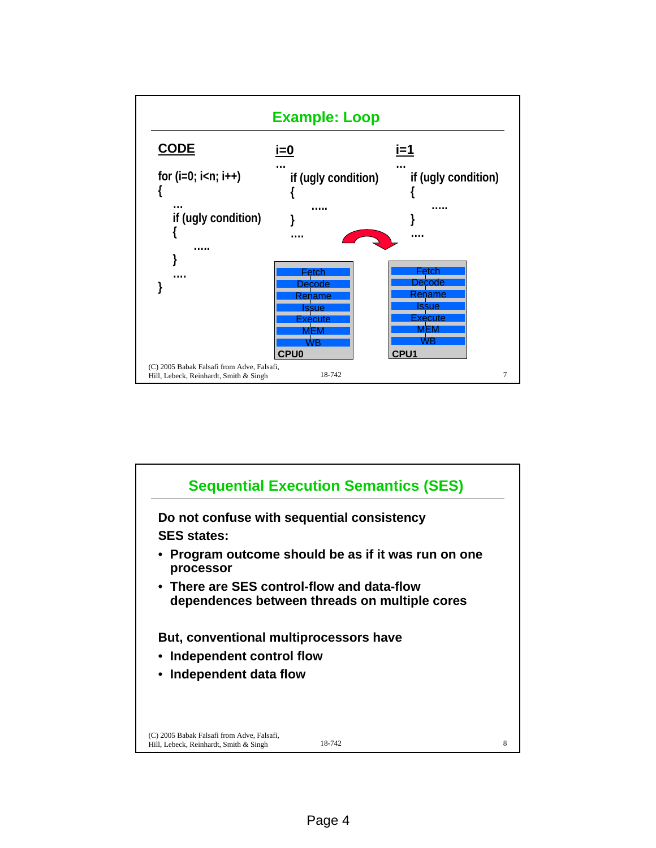

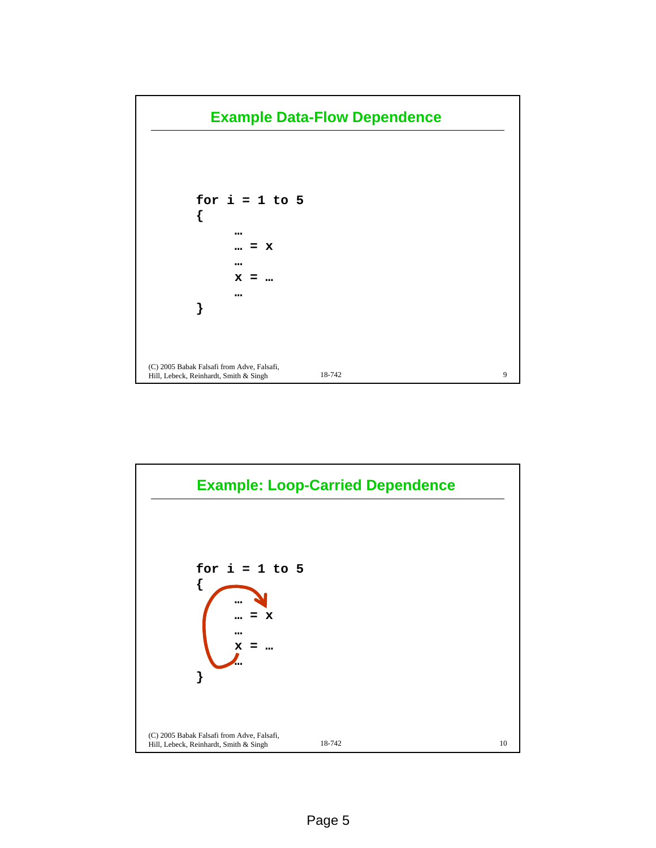

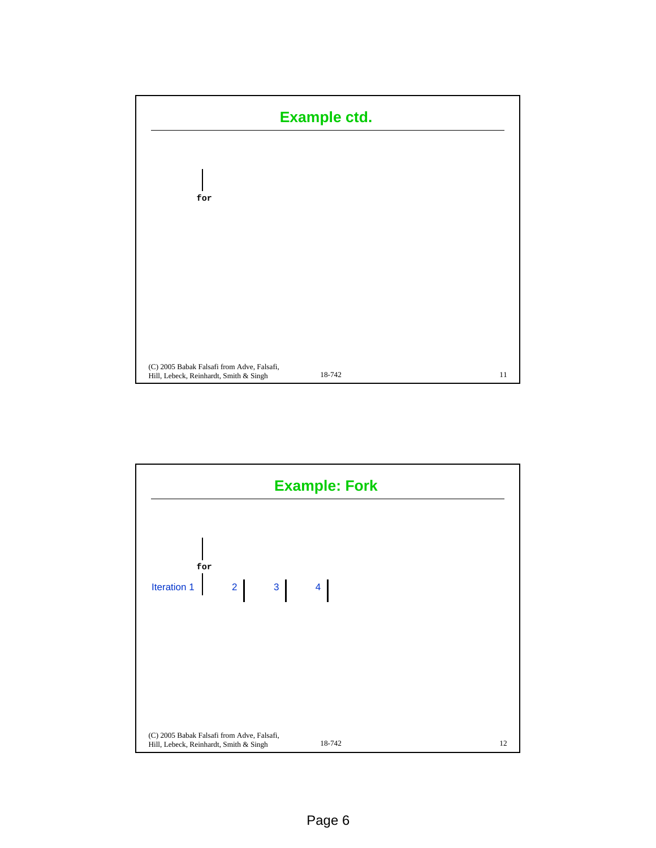

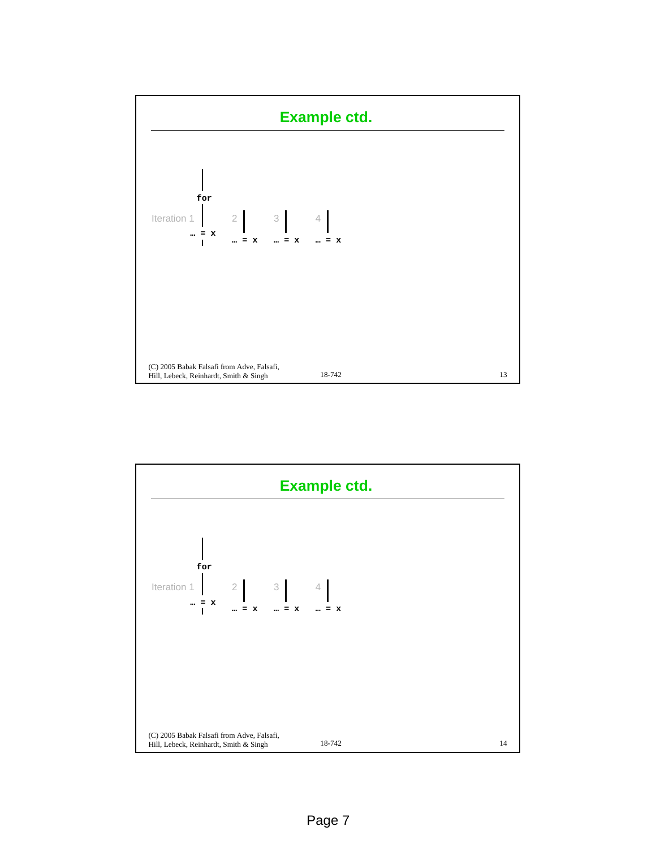

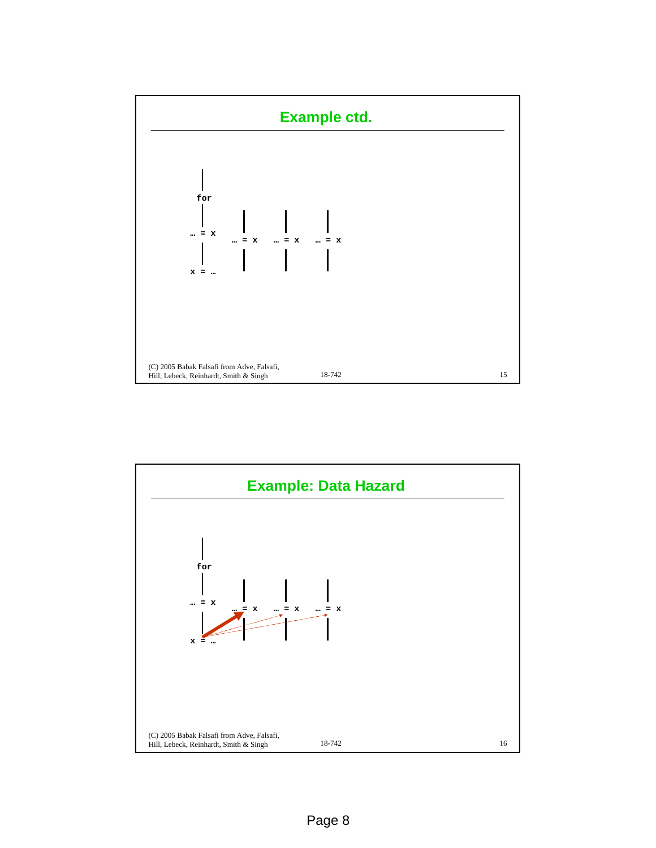

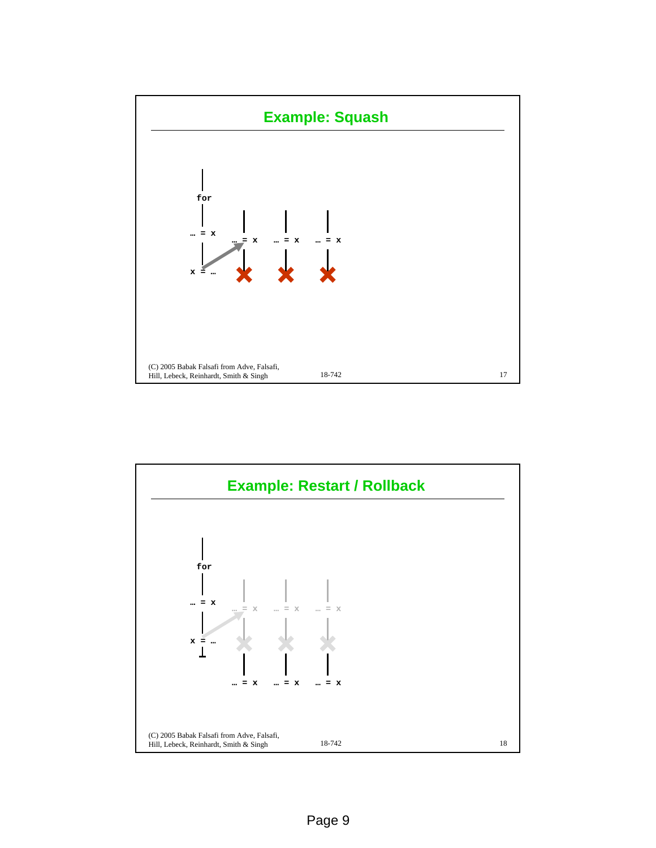

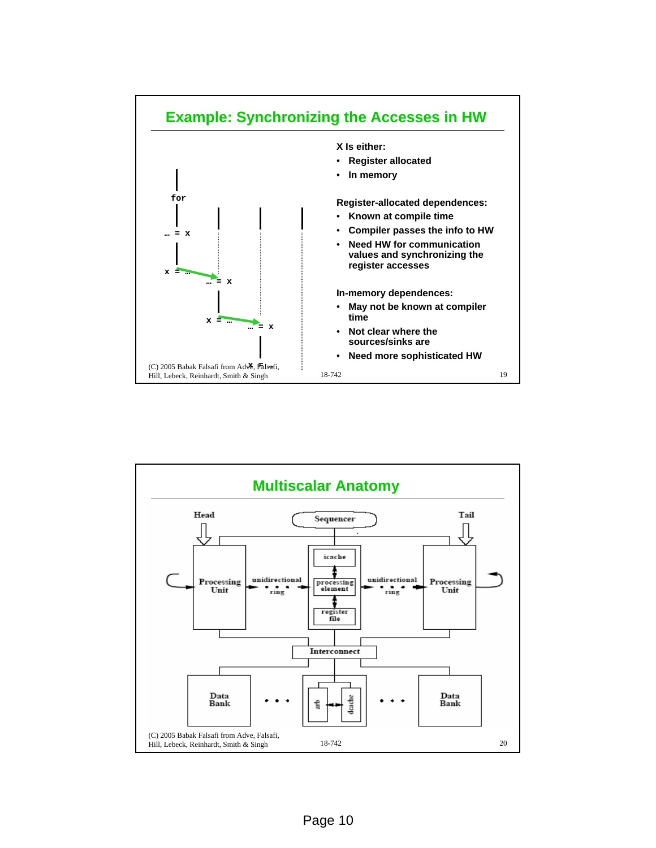

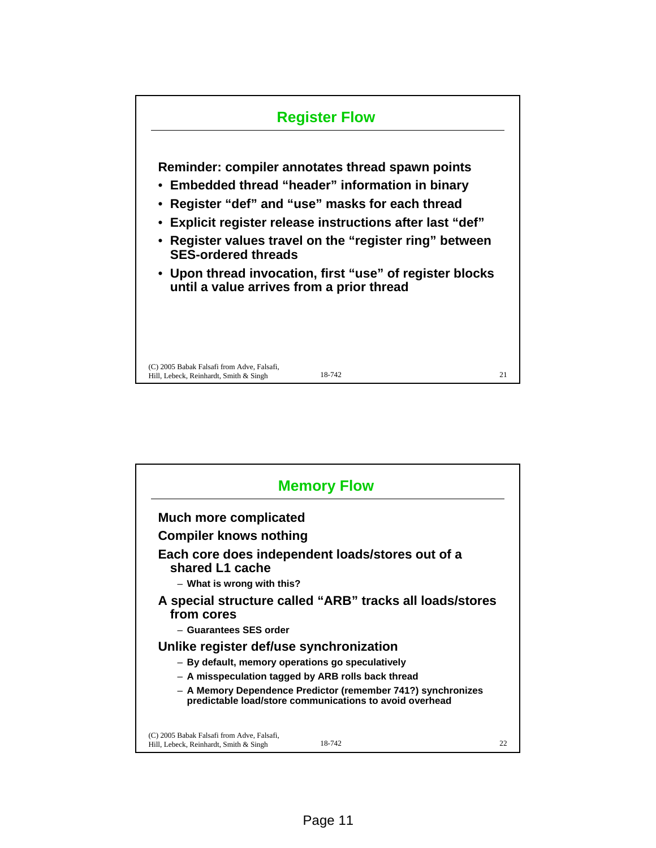

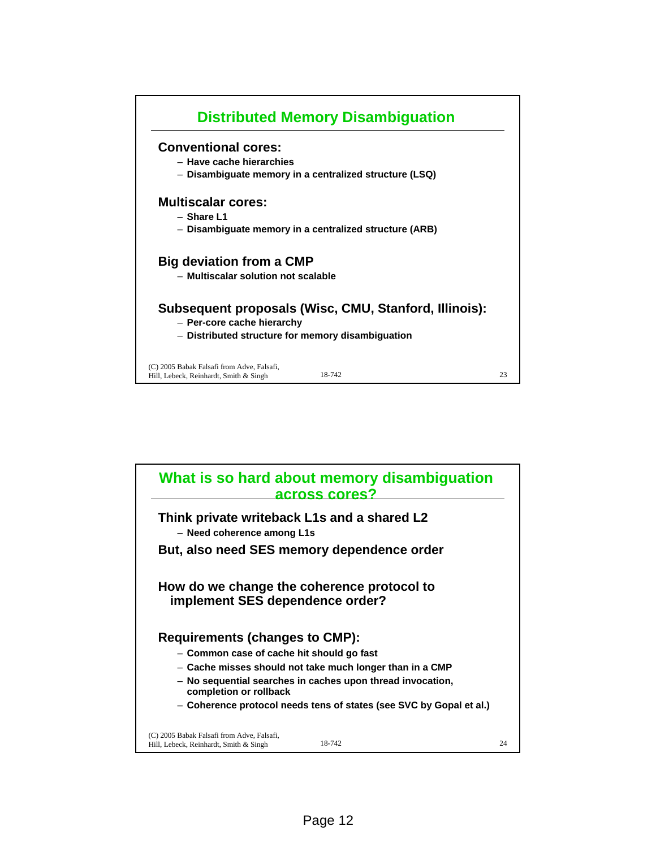

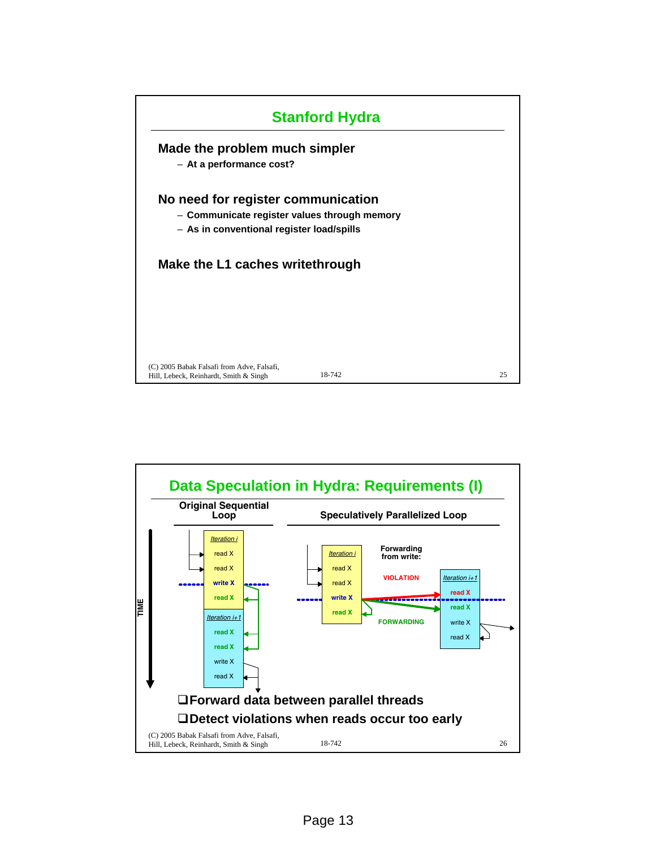

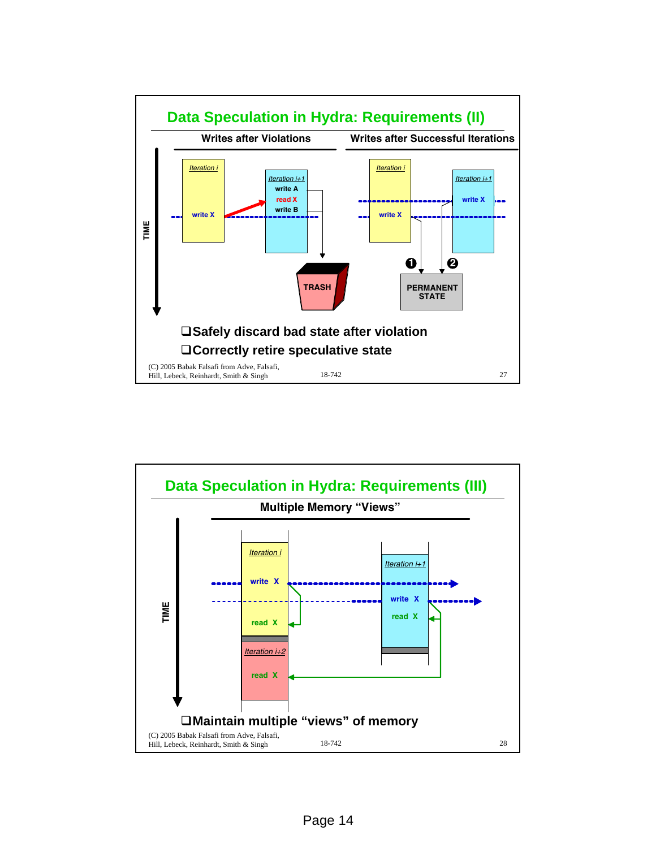

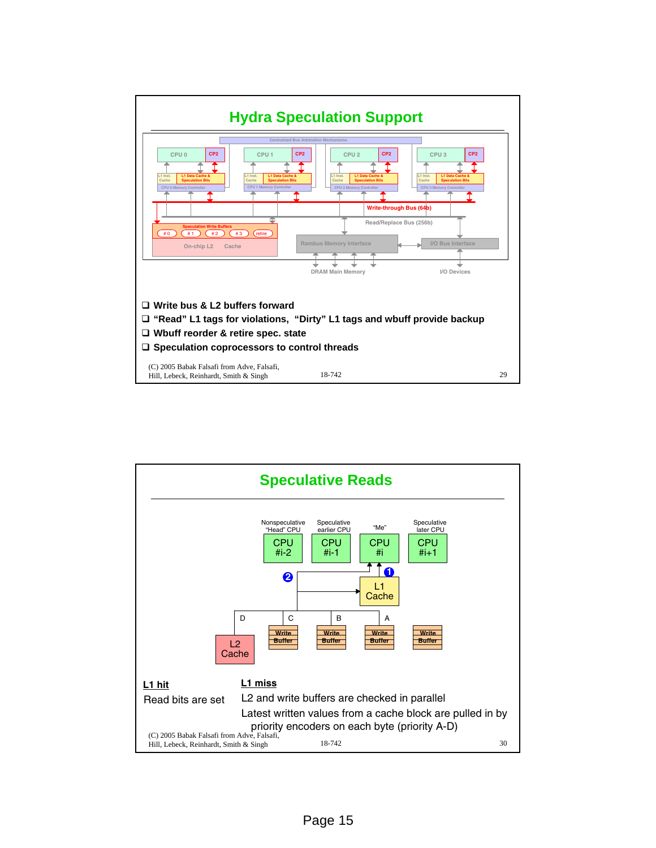

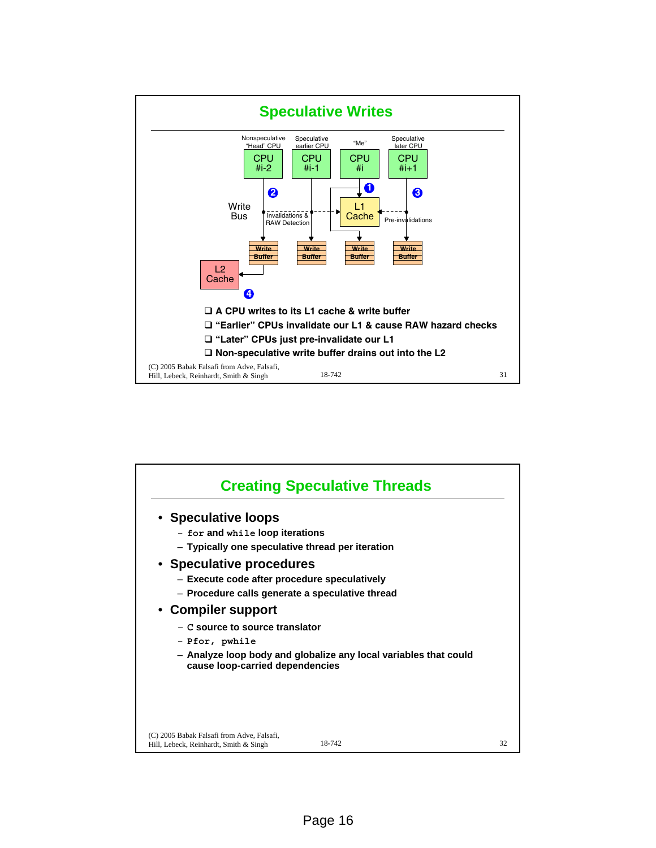

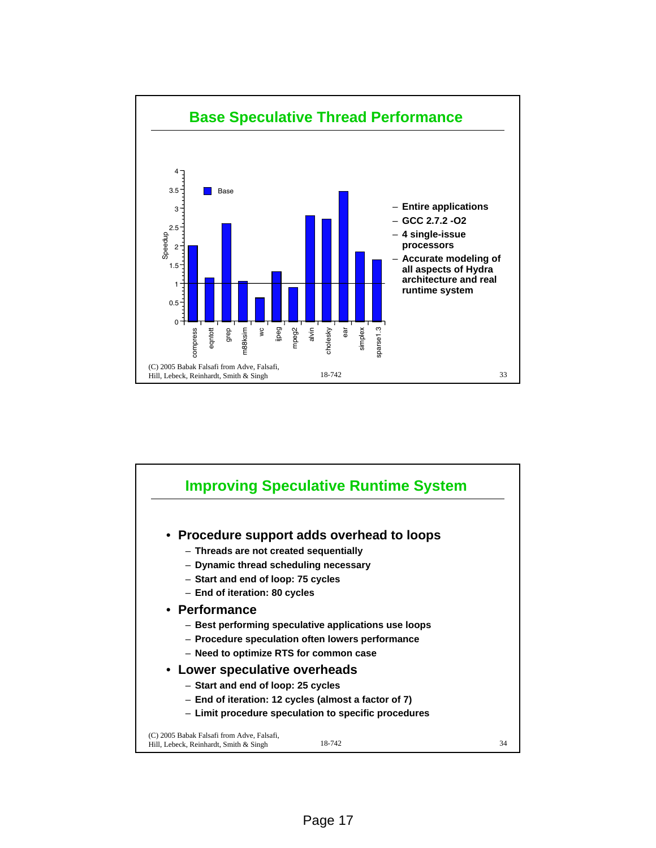

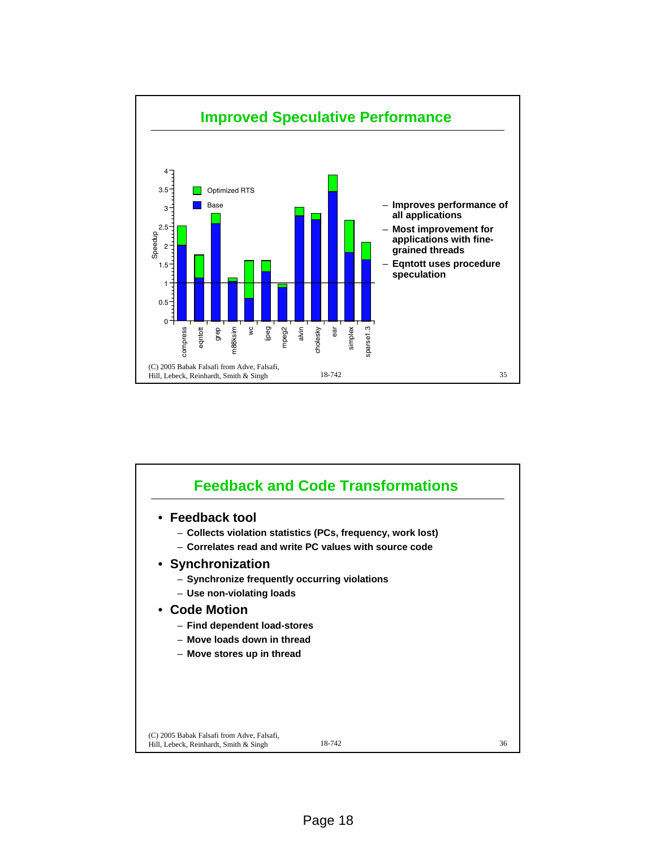

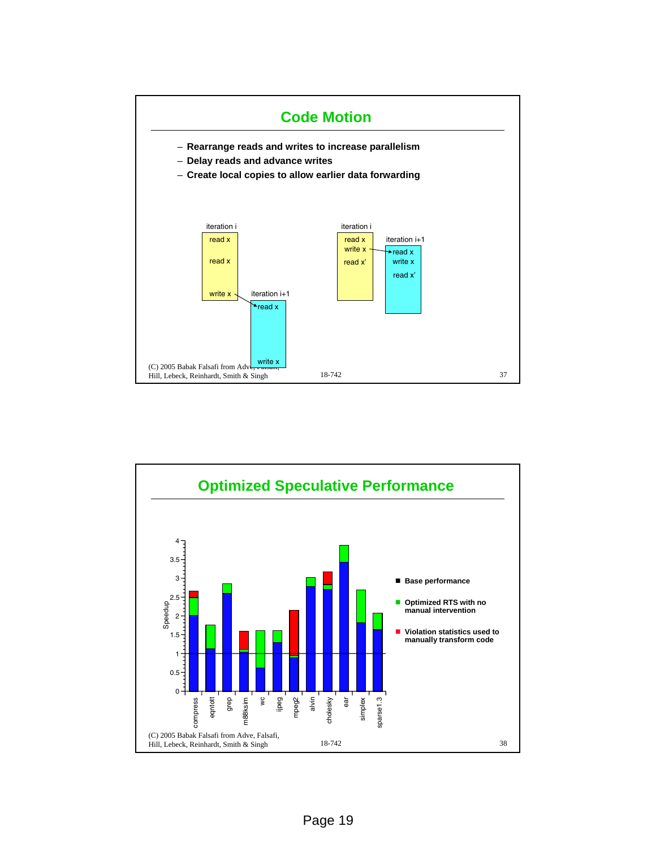